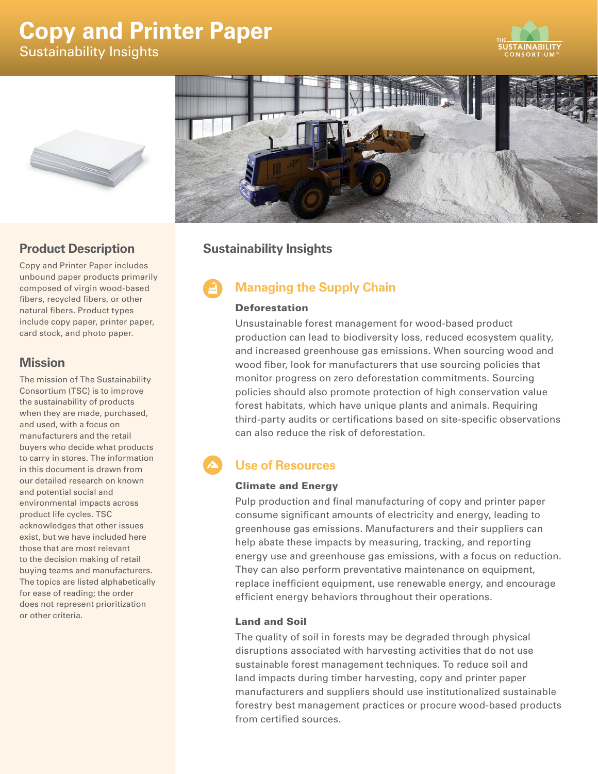# **Copy and Printer Paper** Sustainability Insights







### **Product Description**

Copy and Printer Paper includes unbound paper products primarily composed of virgin wood-based fibers, recycled fibers, or other natural fibers. Product types include copy paper, printer paper, card stock, and photo paper.

### **Mission**

The mission of The Sustainability Consortium (TSC) is to improve the sustainability of products when they are made, purchased, and used, with a focus on manufacturers and the retail buyers who decide what products to carry in stores. The information in this document is drawn from our detailed research on known and potential social and environmental impacts across product life cycles. TSC acknowledges that other issues exist, but we have included here those that are most relevant to the decision making of retail buying teams and manufacturers. The topics are listed alphabetically for ease of reading; the order does not represent prioritization or other criteria.

### **Sustainability Insights**

## **Managing the Supply Chain**

#### Deforestation

Unsustainable forest management for wood-based product production can lead to biodiversity loss, reduced ecosystem quality, and increased greenhouse gas emissions. When sourcing wood and wood fiber, look for manufacturers that use sourcing policies that monitor progress on zero deforestation commitments. Sourcing policies should also promote protection of high conservation value forest habitats, which have unique plants and animals. Requiring third-party audits or certifications based on site-specific observations can also reduce the risk of deforestation.

### **Use of Resources**

#### Climate and Energy

Pulp production and final manufacturing of copy and printer paper consume significant amounts of electricity and energy, leading to greenhouse gas emissions. Manufacturers and their suppliers can help abate these impacts by measuring, tracking, and reporting energy use and greenhouse gas emissions, with a focus on reduction. They can also perform preventative maintenance on equipment, replace inefficient equipment, use renewable energy, and encourage efficient energy behaviors throughout their operations.

#### Land and Soil

The quality of soil in forests may be degraded through physical disruptions associated with harvesting activities that do not use sustainable forest management techniques. To reduce soil and land impacts during timber harvesting, copy and printer paper manufacturers and suppliers should use institutionalized sustainable forestry best management practices or procure wood-based products from certified sources.